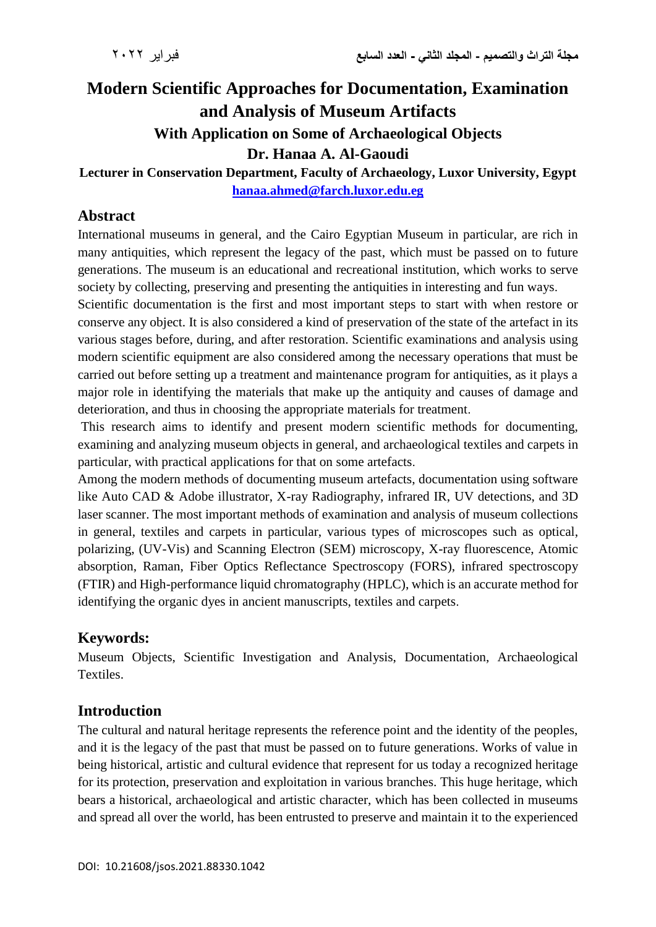# **Modern Scientific Approaches for Documentation, Examination and Analysis of Museum Artifacts With Application on Some of Archaeological Objects Dr. Hanaa A. Al-Gaoudi**

**Lecturer in Conservation Department, Faculty of Archaeology, Luxor University, Egypt [hanaa.ahmed@farch.luxor.edu.eg](mailto:hanaa.ahmed@farch.luxor.edu.eg)**

### **Abstract**

International museums in general, and the Cairo Egyptian Museum in particular, are rich in many antiquities, which represent the legacy of the past, which must be passed on to future generations. The museum is an educational and recreational institution, which works to serve society by collecting, preserving and presenting the antiquities in interesting and fun ways.

Scientific documentation is the first and most important steps to start with when restore or conserve any object. It is also considered a kind of preservation of the state of the artefact in its various stages before, during, and after restoration. Scientific examinations and analysis using modern scientific equipment are also considered among the necessary operations that must be carried out before setting up a treatment and maintenance program for antiquities, as it plays a major role in identifying the materials that make up the antiquity and causes of damage and deterioration, and thus in choosing the appropriate materials for treatment.

This research aims to identify and present modern scientific methods for documenting, examining and analyzing museum objects in general, and archaeological textiles and carpets in particular, with practical applications for that on some artefacts.

Among the modern methods of documenting museum artefacts, documentation using software like Auto CAD & Adobe illustrator, X-ray Radiography, infrared IR, UV detections, and 3D laser scanner. The most important methods of examination and analysis of museum collections in general, textiles and carpets in particular, various types of microscopes such as optical, polarizing, (UV-Vis) and Scanning Electron (SEM) microscopy, X-ray fluorescence, Atomic absorption, Raman, Fiber Optics Reflectance Spectroscopy (FORS), infrared spectroscopy (FTIR) and High-performance liquid chromatography (HPLC), which is an accurate method for identifying the organic dyes in ancient manuscripts, textiles and carpets.

## **Keywords:**

Museum Objects, Scientific Investigation and Analysis, Documentation, Archaeological **Textiles** 

## **Introduction**

The cultural and natural heritage represents the reference point and the identity of the peoples, and it is the legacy of the past that must be passed on to future generations. Works of value in being historical, artistic and cultural evidence that represent for us today a recognized heritage for its protection, preservation and exploitation in various branches. This huge heritage, which bears a historical, archaeological and artistic character, which has been collected in museums and spread all over the world, has been entrusted to preserve and maintain it to the experienced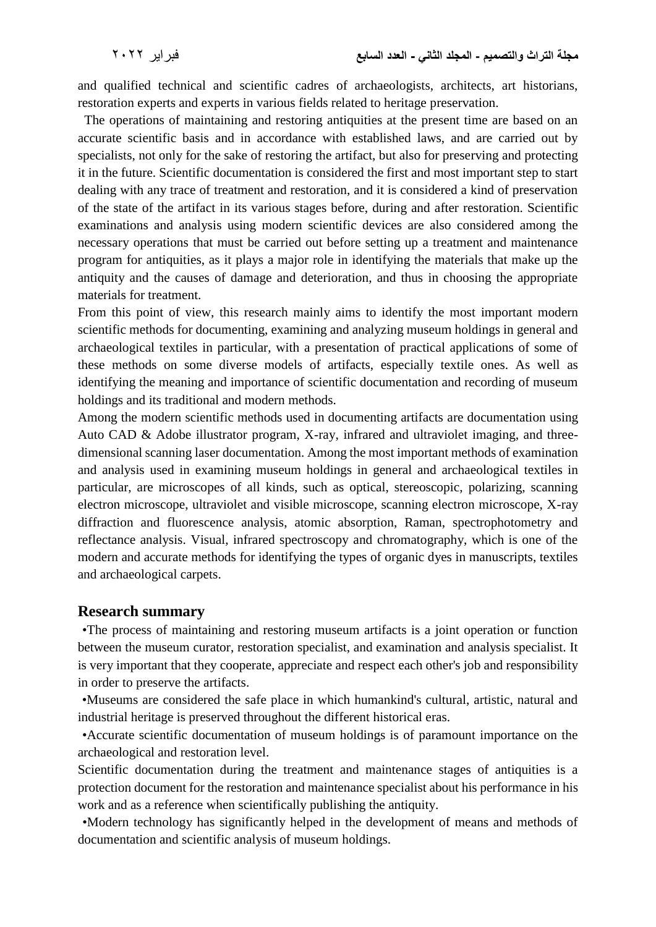and qualified technical and scientific cadres of archaeologists, architects, art historians, restoration experts and experts in various fields related to heritage preservation.

 The operations of maintaining and restoring antiquities at the present time are based on an accurate scientific basis and in accordance with established laws, and are carried out by specialists, not only for the sake of restoring the artifact, but also for preserving and protecting it in the future. Scientific documentation is considered the first and most important step to start dealing with any trace of treatment and restoration, and it is considered a kind of preservation of the state of the artifact in its various stages before, during and after restoration. Scientific examinations and analysis using modern scientific devices are also considered among the necessary operations that must be carried out before setting up a treatment and maintenance program for antiquities, as it plays a major role in identifying the materials that make up the antiquity and the causes of damage and deterioration, and thus in choosing the appropriate materials for treatment.

From this point of view, this research mainly aims to identify the most important modern scientific methods for documenting, examining and analyzing museum holdings in general and archaeological textiles in particular, with a presentation of practical applications of some of these methods on some diverse models of artifacts, especially textile ones. As well as identifying the meaning and importance of scientific documentation and recording of museum holdings and its traditional and modern methods.

Among the modern scientific methods used in documenting artifacts are documentation using Auto CAD & Adobe illustrator program, X-ray, infrared and ultraviolet imaging, and threedimensional scanning laser documentation. Among the most important methods of examination and analysis used in examining museum holdings in general and archaeological textiles in particular, are microscopes of all kinds, such as optical, stereoscopic, polarizing, scanning electron microscope, ultraviolet and visible microscope, scanning electron microscope, X-ray diffraction and fluorescence analysis, atomic absorption, Raman, spectrophotometry and reflectance analysis. Visual, infrared spectroscopy and chromatography, which is one of the modern and accurate methods for identifying the types of organic dyes in manuscripts, textiles and archaeological carpets.

#### **Research summary**

 •The process of maintaining and restoring museum artifacts is a joint operation or function between the museum curator, restoration specialist, and examination and analysis specialist. It is very important that they cooperate, appreciate and respect each other's job and responsibility in order to preserve the artifacts.

 •Museums are considered the safe place in which humankind's cultural, artistic, natural and industrial heritage is preserved throughout the different historical eras.

 •Accurate scientific documentation of museum holdings is of paramount importance on the archaeological and restoration level.

Scientific documentation during the treatment and maintenance stages of antiquities is a protection document for the restoration and maintenance specialist about his performance in his work and as a reference when scientifically publishing the antiquity.

 •Modern technology has significantly helped in the development of means and methods of documentation and scientific analysis of museum holdings.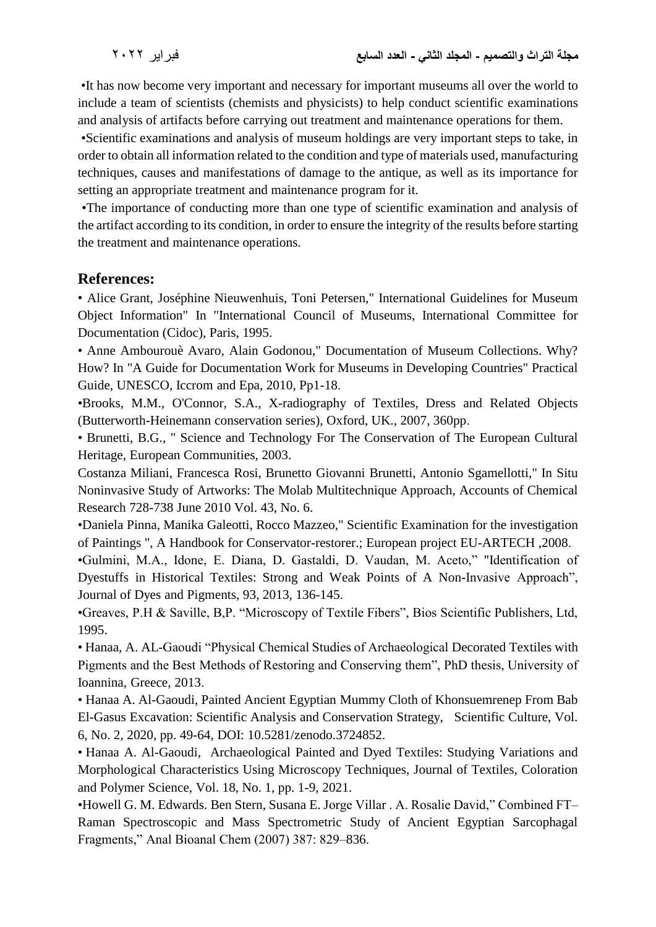•It has now become very important and necessary for important museums all over the world to include a team of scientists (chemists and physicists) to help conduct scientific examinations and analysis of artifacts before carrying out treatment and maintenance operations for them.

 •Scientific examinations and analysis of museum holdings are very important steps to take, in order to obtain all information related to the condition and type of materials used, manufacturing techniques, causes and manifestations of damage to the antique, as well as its importance for setting an appropriate treatment and maintenance program for it.

 •The importance of conducting more than one type of scientific examination and analysis of the artifact according to its condition, in order to ensure the integrity of the results before starting the treatment and maintenance operations.

#### **References:**

• Alice Grant, Joséphine Nieuwenhuis, Toni Petersen," International Guidelines for Museum Object Information" In "International Council of Museums, International Committee for Documentation (Cidoc), Paris, 1995.

• Anne Ambourouè Avaro, Alain Godonou," Documentation of Museum Collections. Why? How? In "A Guide for Documentation Work for Museums in Developing Countries" Practical Guide, UNESCO, Iccrom and Epa, 2010, Pp1-18.

•Brooks, M.M., O'Connor, S.A., X-radiography of Textiles, Dress and Related Objects (Butterworth-Heinemann conservation series), Oxford, UK., 2007, 360pp.

• Brunetti, B.G., " Science and Technology For The Conservation of The European Cultural Heritage, European Communities, 2003.

Costanza Miliani, Francesca Rosi, Brunetto Giovanni Brunetti, Antonio Sgamellotti," In Situ Noninvasive Study of Artworks: The Molab Multitechnique Approach, Accounts of Chemical Research 728-738 June 2010 Vol. 43, No. 6.

•Daniela Pinna, Manika Galeotti, Rocco Mazzeo," Scientific Examination for the investigation of Paintings ", A Handbook for Conservator-restorer.; European project EU-ARTECH ,2008.

•Gulmini, M.A., Idone, E. Diana, D. Gastaldi, D. Vaudan, M. Aceto," "Identification of Dyestuffs in Historical Textiles: Strong and Weak Points of A Non-Invasive Approach", Journal of Dyes and Pigments, 93, 2013, 136-145.

•Greaves, P.H & Saville, B,P. "Microscopy of Textile Fibers", Bios Scientific Publishers, Ltd, 1995.

• Hanaa, A. AL-Gaoudi "Physical Chemical Studies of Archaeological Decorated Textiles with Pigments and the Best Methods of Restoring and Conserving them", PhD thesis, University of Ioannina, Greece, 2013.

• Hanaa A. Al-Gaoudi, Painted Ancient Egyptian Mummy Cloth of Khonsuemrenep From Bab El-Gasus Excavation: Scientific Analysis and Conservation Strategy, Scientific Culture, Vol. 6, No. 2, 2020, pp. 49-64, DOI: 10.5281/zenodo.3724852.

• Hanaa A. Al-Gaoudi, Archaeological Painted and Dyed Textiles: Studying Variations and Morphological Characteristics Using Microscopy Techniques, Journal of Textiles, Coloration and Polymer Science, Vol. 18, No. 1, pp. 1-9, 2021.

•Howell G. M. Edwards. Ben Stern, Susana E. Jorge Villar . A. Rosalie David," Combined FT– Raman Spectroscopic and Mass Spectrometric Study of Ancient Egyptian Sarcophagal Fragments," Anal Bioanal Chem (2007) 387: 829–836.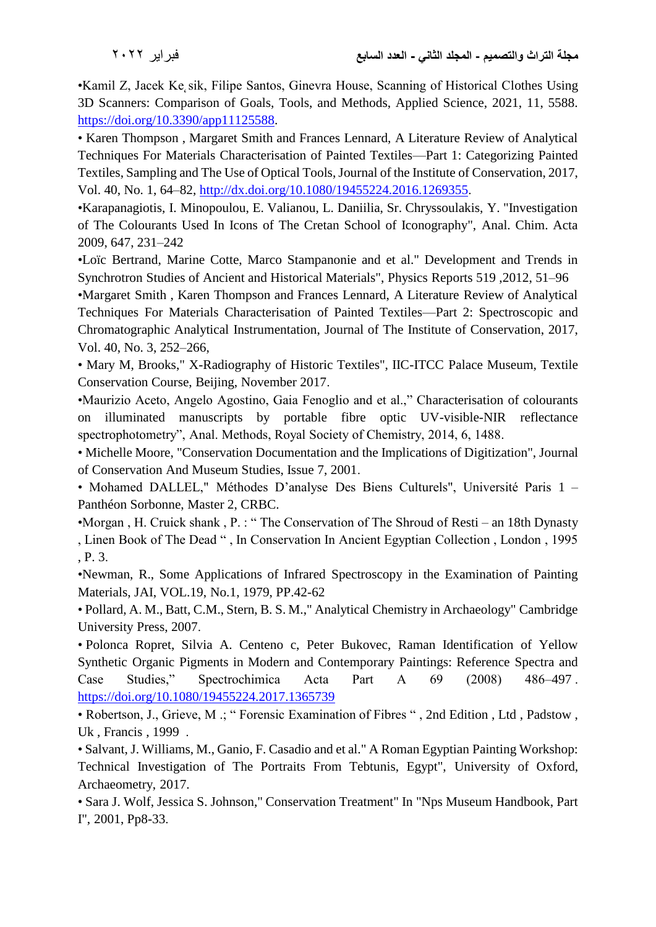•Kamil Z, Jacek Ke sik, Filipe Santos, Ginevra House, Scanning of Historical Clothes Using 3D Scanners: Comparison of Goals, Tools, and Methods, Applied Science, 2021, 11, 5588. [https://doi.org/10.3390/app11125588.](https://doi.org/10.3390/app11125588)

• Karen Thompson , Margaret Smith and Frances Lennard, A Literature Review of Analytical Techniques For Materials Characterisation of Painted Textiles—Part 1: Categorizing Painted Textiles, Sampling and The Use of Optical Tools, Journal of the Institute of Conservation, 2017, Vol. 40, No. 1, 64–82, [http://dx.doi.org/10.1080/19455224.2016.1269355.](http://dx.doi.org/10.1080/19455224.2016.1269355)

•Karapanagiotis, I. Minopoulou, E. Valianou, L. Daniilia, Sr. Chryssoulakis, Y. "Investigation of The Colourants Used In Icons of The Cretan School of Iconography", Anal. Chim. Acta 2009, 647, 231–242

•Loïc Bertrand, Marine Cotte, Marco Stampanonie and et al." Development and Trends in Synchrotron Studies of Ancient and Historical Materials", Physics Reports 519 ,2012, 51–96

•Margaret Smith , Karen Thompson and Frances Lennard, A Literature Review of Analytical Techniques For Materials Characterisation of Painted Textiles—Part 2: Spectroscopic and Chromatographic Analytical Instrumentation, Journal of The Institute of Conservation, 2017, Vol. 40, No. 3, 252–266,

• Mary M, Brooks," X-Radiography of Historic Textiles", IIC-ITCC Palace Museum, Textile Conservation Course, Beijing, November 2017.

•Maurizio Aceto, Angelo Agostino, Gaia Fenoglio and et al.," Characterisation of colourants on illuminated manuscripts by portable fibre optic UV-visible-NIR reflectance spectrophotometry", Anal. Methods, Royal Society of Chemistry, 2014, 6, 1488.

• Michelle Moore, "Conservation Documentation and the Implications of Digitization", Journal of Conservation And Museum Studies, Issue 7, 2001.

• Mohamed DALLEL," Méthodes D'analyse Des Biens Culturels", Université Paris 1 – Panthéon Sorbonne, Master 2, CRBC.

•Morgan , H. Cruick shank , P. : " The Conservation of The Shroud of Resti – an 18th Dynasty , Linen Book of The Dead " , In Conservation In Ancient Egyptian Collection , London , 1995 , P. 3.

•Newman, R., Some Applications of Infrared Spectroscopy in the Examination of Painting Materials, JAI, VOL.19, No.1, 1979, PP.42-62

• Pollard, A. M., Batt, C.M., Stern, B. S. M.," Analytical Chemistry in Archaeology" Cambridge University Press, 2007.

• Polonca Ropret, Silvia A. Centeno c, Peter Bukovec, Raman Identification of Yellow Synthetic Organic Pigments in Modern and Contemporary Paintings: Reference Spectra and Case Studies," Spectrochimica Acta Part A 69 (2008) 486–49[7 .](https://doi.org/10.1080/19455224.2017.1365739) <https://doi.org/10.1080/19455224.2017.1365739>

• Robertson, J., Grieve, M .; " Forensic Examination of Fibres " , 2nd Edition , Ltd , Padstow , Uk , Francis , 1999 .

• Salvant, J. Williams, M., Ganio, F. Casadio and et al." A Roman Egyptian Painting Workshop: Technical Investigation of The Portraits From Tebtunis, Egypt", University of Oxford, Archaeometry, 2017.

• Sara J. Wolf, Jessica S. Johnson," Conservation Treatment" In "Nps Museum Handbook, Part I", 2001, Pp8-33.